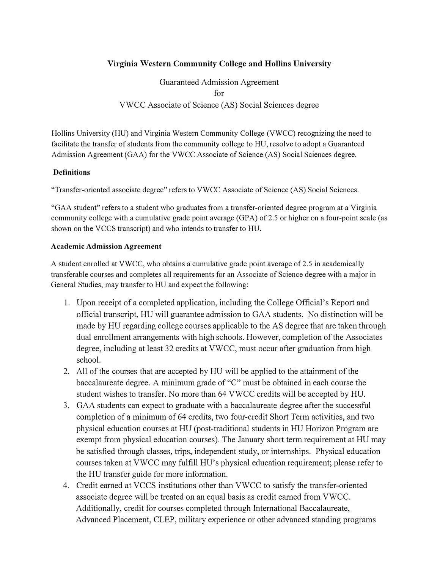## **Virginia Western Community College and Hollins University**

Guaranteed Admission Agreement for VWCC Associate of Science (AS) Social Sciences degree

Hollins University (HU) and Virginia Western Community College (VWCC) recognizing the need to facilitate the transfer of students from the community college to HU, resolve to adopt a Guaranteed Admission Agreement (GAA) for the VWCC Associate of Science (AS) Social Sciences degree.

## **Definitions**

"Transfer-oriented associate degree" refers to VWCC Associate of Science (AS) Social Sciences.

"GAA student" refers to a student who graduates from a transfer-oriented degree program at a Virginia community college with a cumulative grade point average (GPA) of 2.5 or higher on a four-point scale (as shown on the VCCS transcript) and who intends to transfer to HU.

#### **Academic Admission Agreement**

A student enrolled at VWCC, who obtains a cumulative grade point average of 2.5 in academically transferable courses and completes all requirements for an Associate of Science degree with a major in General Studies, may transfer to HU and expect the following:

- 1. Upon receipt of a completed application, including the College Official's Report and official transcript, HU will guarantee admission to GAA students. No distinction will be made by HU regarding college courses applicable to the AS degree that are taken through dual enrollment arrangements with high schools. However, completion of the Associates degree, including at least 32 credits at VWCC, must occur after graduation from high school.
- 2. All of the courses that are accepted by HU will be applied to the attainment of the baccalaureate degree. A minimum grade of "C" must be obtained in each course the student wishes to transfer. No more than 64 VWCC credits will be accepted by HU.
- 3. GAA students can expect to graduate with a baccalaureate degree after the successful completion of a minimum of 64 credits, two four-credit Short Term activities, and two physical education courses at HU (post-traditional students in HU Horizon Program are exempt from physical education courses). The January short term requirement at HU may be satisfied through classes, trips, independent study, or internships. Physical education courses taken at VWCC may fulfill HU's physical education requirement; please refer to the HU transfer guide for more information.
- 4. Credit earned at VCCS institutions other than VWCC to satisfy the transfer-oriented associate degree will be treated on an equal basis as credit earned from VWCC. Additionally, credit for courses completed through International Baccalaureate, Advanced Placement, CLEP, military experience or other advanced standing programs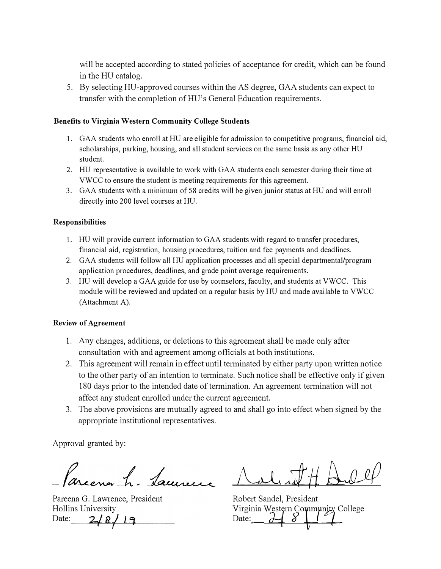**will be accepted according to stated policies of acceptance for credit, which can be found in the HU catalog.** 

**5. By selecting HU-approved courses within the AS degree, GAA students can expect to**  transfer with the completion of HU's General Education requirements.

#### **Benefits to Virginia Western Community College Students**

- **1. GAA students who enroll at HU are eligible for admission to competitive programs, financial aid, scholarships, parking, housing, and all student services on the same basis as any other HU student.**
- **2. HU representative is available to work with GAA students each semester during their time at VWCC to ensure the student is meeting requirements for this agreement.**
- **3. GAA students with a minimum of 5 8 credits will be given junior status at HU and will enroll directly into 200 level courses at HU.**

#### **Responsibilities**

- **1. HU will provide current information to GAA students with regard to transfer procedures, financial aid, registration, housing procedures, tuition and fee payments and deadlines.**
- **2. GAA students will follow all HU application processes and all special depattmental/program application procedures, deadlines, and grade point average requirements.**
- **3. HU will develop a GAA guide for use by counselors, faculty, and students at VWCC. This module will be reviewed and updated on a regular basis by HU and made available to VWCC (Attachment A).**

#### **Review of Agreement**

- **1. Any changes, additions, or deletions to this agreement shall be made only after consultation with and agreement among officials at both institutions.**
- **2. This agreement will remain in effect until terminated by either party upon written notice to the other party of an intention to terminate. Such notice shall be effective only if given 180 days prior to the intended date of termination. An agreement termination will not**  affect any student enrolled under the current agreement.
- **3. The above provisions are mutually agreed to and shall go into effect when signed by the appropriate institutional representatives.**

**Approval granted by:** 

Jaune

Pareena G. Lawrence, President **Robert Sandel, President <br>
Hollins University <b>Robert Sandel**, President *Virginia Western Commy* **Hollins University Virginia w\_esty Date: 2J g** *}* **/** *'-1* **Date:**

*AJ,;tH{;wu!P* 

**Wirginia Western Community College** *Pate*: *d d i l*<br>*pate*: *d d i l*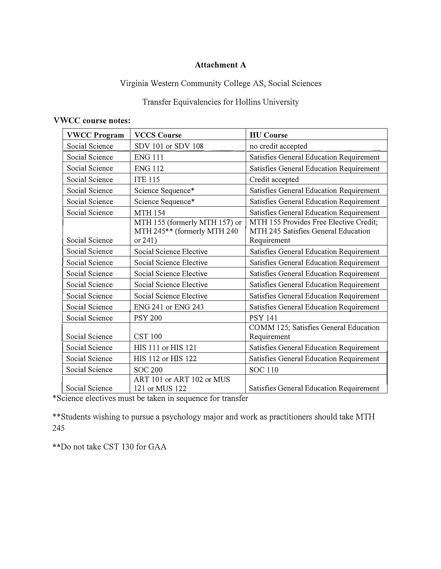# **Attachment A**

# **Virginia Western Community College AS, Social Sciences**

# **Transfer Equivalencies for Hollins University**

## **VWCC course notes:**

| <b>VWCC Program</b> | <b>VCCS Course</b>                                           | <b>HU</b> Course                                                              |
|---------------------|--------------------------------------------------------------|-------------------------------------------------------------------------------|
| Social Science      | SDV 101 or SDV 108                                           | no credit accepted                                                            |
| Social Science      | <b>ENG 111</b>                                               | Satisfies General Education Requirement                                       |
| Social Science      | <b>ENG 112</b>                                               | Satisfies General Education Requirement                                       |
| Social Science      | <b>ITE 115</b>                                               | Credit accepted                                                               |
| Social Science      | Science Sequence*                                            | Satisfies General Education Requirement                                       |
| Social Science      | Science Sequence*                                            | Satisfies General Education Requirement                                       |
| Social Science      | <b>MTH 154</b>                                               | Satisfies General Education Requirement                                       |
|                     | MTH 155 (formerly MTH 157) or<br>MTH 245** (formerly MTH 240 | MTH 155 Provides Free Elective Credit;<br>MTH 245 Satisfies General Education |
| Social Science      | or 241)                                                      | Requirement                                                                   |
| Social Science      | Social Science Elective                                      | Satisfies General Education Requirement                                       |
| Social Science      | Social Science Elective                                      | Satisfies General Education Requirement                                       |
| Social Science      | Social Science Elective                                      | Satisfies General Education Requirement                                       |
| Social Science      | Social Science Elective                                      | Satisfies General Education Requirement                                       |
| Social Science      | Social Science Elective                                      | Satisfies General Education Requirement                                       |
| Social Science      | ENG 241 or ENG 243                                           | Satisfies General Education Requirement                                       |
| Social Science      | <b>PSY 200</b>                                               | <b>PSY 141</b>                                                                |
| Social Science      | <b>CST 100</b>                                               | COMM 125; Satisfies General Education<br>Requirement                          |
| Social Science      | HIS 111 or HIS 121                                           | Satisfies General Education Requirement                                       |
| Social Science      | HIS 112 or HIS 122                                           | Satisfies General Education Requirement                                       |
| Social Science      | <b>SOC 200</b>                                               | <b>SOC 110</b>                                                                |
| Social Science      | ART 101 or ART 102 or MUS<br>121 or MUS 122                  | Satisfies General Education Requirement                                       |

**\*Science electives must be taken in sequence for transfer** 

**\*\*Students wishing to pursue a psychology major and work as practitioners should take MTH 245** 

**\*\*Do not take CST 130 for GAA**